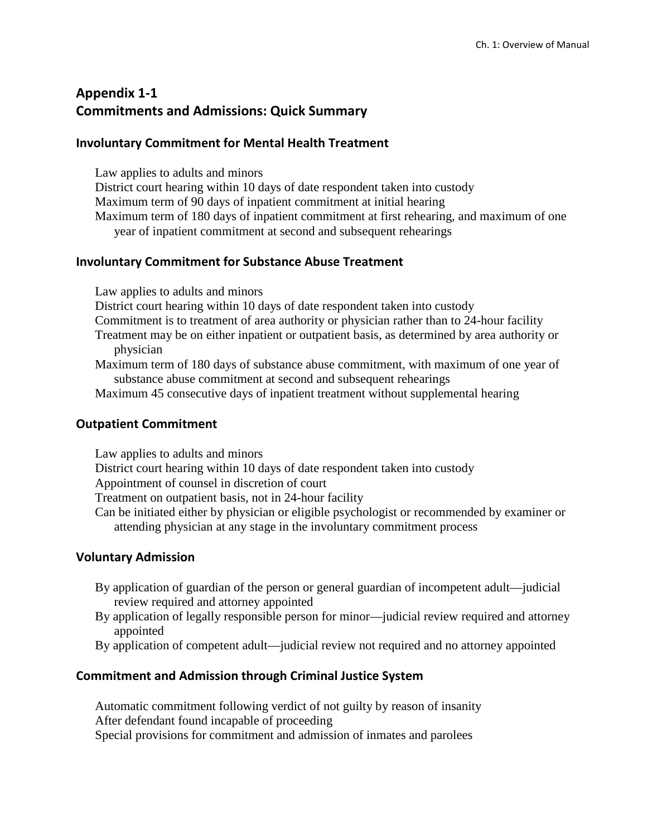# **Appendix 1-1 Commitments and Admissions: Quick Summary**

#### **Involuntary Commitment for Mental Health Treatment**

Law applies to adults and minors

District court hearing within 10 days of date respondent taken into custody Maximum term of 90 days of inpatient commitment at initial hearing Maximum term of 180 days of inpatient commitment at first rehearing, and maximum of one year of inpatient commitment at second and subsequent rehearings

#### **Involuntary Commitment for Substance Abuse Treatment**

Law applies to adults and minors

District court hearing within 10 days of date respondent taken into custody

- Commitment is to treatment of area authority or physician rather than to 24-hour facility
- Treatment may be on either inpatient or outpatient basis, as determined by area authority or physician
- Maximum term of 180 days of substance abuse commitment, with maximum of one year of substance abuse commitment at second and subsequent rehearings
- Maximum 45 consecutive days of inpatient treatment without supplemental hearing

#### **Outpatient Commitment**

Law applies to adults and minors District court hearing within 10 days of date respondent taken into custody Appointment of counsel in discretion of court Treatment on outpatient basis, not in 24-hour facility Can be initiated either by physician or eligible psychologist or recommended by examiner or attending physician at any stage in the involuntary commitment process

## **Voluntary Admission**

- By application of guardian of the person or general guardian of incompetent adult—judicial review required and attorney appointed
- By application of legally responsible person for minor—judicial review required and attorney appointed
- By application of competent adult—judicial review not required and no attorney appointed

## **Commitment and Admission through Criminal Justice System**

Automatic commitment following verdict of not guilty by reason of insanity After defendant found incapable of proceeding Special provisions for commitment and admission of inmates and parolees